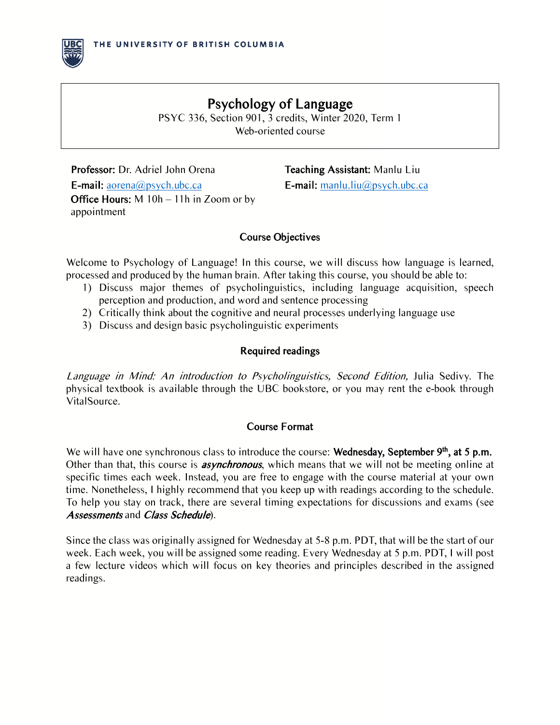

Web-oriented course

Professor: Dr. Adriel John Orena Teaching Assistant: Manlu Liu **E-mail:** aorena@psych.ubc.ca **E-mail:** manlu.liu@psych.ubc.ca Office Hours: M 10h – 11h in Zoom or by appointment

# Course Objectives

Welcome to Psychology of Language! In this course, we will discuss how language is learned, processed and produced by the human brain. After taking this course, you should be able to:

- 1) Discuss major themes of psycholinguistics, including language acquisition, speech perception and production, and word and sentence processing
- 2) Critically think about the cognitive and neural processes underlying language use
- 3) Discuss and design basic psycholinguistic experiments

# Required readings

Language in Mind: An introduction to Psycholinguistics, Second Edition, Julia Sedivy. The physical textbook is available through the UBC bookstore, or you may rent the e-book through VitalSource.

# Course Format

We will have one synchronous class to introduce the course: Wednesday, September 9<sup>th</sup>, at 5 p.m. Other than that, this course is **asynchronous**, which means that we will not be meeting online at specific times each week. Instead, you are free to engage with the course material at your own time. Nonetheless, I highly recommend that you keep up with readings according to the schedule. To help you stay on track, there are several timing expectations for discussions and exams (see Assessments and Class Schedule).

Since the class was originally assigned for Wednesday at 5-8 p.m. PDT, that will be the start of our week. Each week, you will be assigned some reading. Every Wednesday at 5 p.m. PDT, I will post a few lecture videos which will focus on key theories and principles described in the assigned readings.

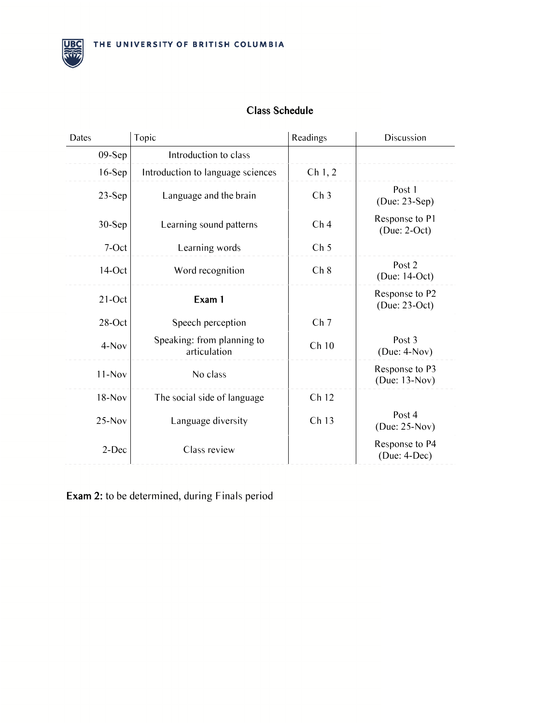

# Class Schedule

| Dates     | Topic                                      | Readings            | Discussion                          |
|-----------|--------------------------------------------|---------------------|-------------------------------------|
| $09-Sep$  | Introduction to class                      |                     |                                     |
| $16-Sep$  | Introduction to language sciences          | Ch <sub>1</sub> , 2 |                                     |
| $23-Sep$  | Language and the brain                     | Ch <sub>3</sub>     | Post 1<br>$(Due: 23-Sep)$           |
| $30-Sep$  | Learning sound patterns                    | Ch <sub>4</sub>     | Response to P1<br>$(Due: 2-Oct)$    |
| 7-Oct     | Learning words                             | Ch <sub>5</sub>     |                                     |
| $14$ -Oct | Word recognition                           | Ch 8                | Post 2<br>(Due: 14-Oct)             |
| $21$ -Oct | Exam 1                                     |                     | Response to P2<br>$(Due: 23-Oct)$   |
| 28-Oct    | Speech perception                          | Ch <sub>7</sub>     |                                     |
| $4-Nov$   | Speaking: from planning to<br>articulation | Ch10                | Post <sub>3</sub><br>$(Due: 4-Nov)$ |
| $11-Nov$  | No class                                   |                     | Response to P3<br>(Due: 13-Nov)     |
| $18-Nov$  | The social side of language                | Ch 12               |                                     |
| $25-Nov$  | Language diversity                         | Ch <sub>13</sub>    | Post 4<br>(Due: $25-Nov$ )          |
| 2-Dec     | Class review                               |                     | Response to P4<br>$(Due: 4-Dec)$    |

Exam 2: to be determined, during Finals period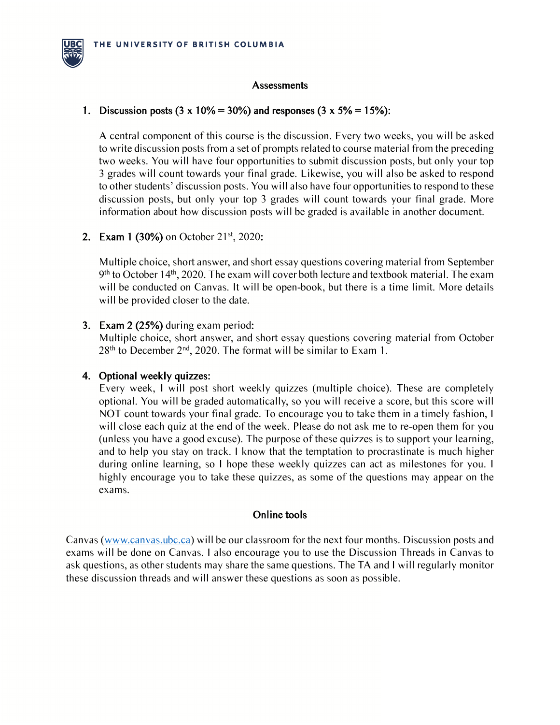

#### **Assessments**

#### 1. Discussion posts  $(3 \times 10\% = 30\%)$  and responses  $(3 \times 5\% = 15\%)$ :

A central component of this course is the discussion. Every two weeks, you will be asked to write discussion posts from a set of prompts related to course material from the preceding two weeks. You will have four opportunities to submit discussion posts, but only your top 3 grades will count towards your final grade. Likewise, you will also be asked to respond to other students' discussion posts. You will also have four opportunities to respond to these discussion posts, but only your top 3 grades will count towards your final grade. More information about how discussion posts will be graded is available in another document.

#### 2. Exam 1 (30%) on October  $21^{st}$ , 2020:

Multiple choice, short answer, and short essay questions covering material from September  $9<sup>th</sup>$  to October 14<sup>th</sup>, 2020. The exam will cover both lecture and textbook material. The exam will be conducted on Canvas. It will be open-book, but there is a time limit. More details will be provided closer to the date.

#### 3. Exam 2 (25%) during exam period:

Multiple choice, short answer, and short essay questions covering material from October  $28<sup>th</sup>$  to December  $2<sup>nd</sup>$ , 2020. The format will be similar to Exam 1.

#### 4. Optional weekly quizzes:

Every week, I will post short weekly quizzes (multiple choice). These are completely optional. You will be graded automatically, so you will receive a score, but this score will NOT count towards your final grade. To encourage you to take them in a timely fashion, I will close each quiz at the end of the week. Please do not ask me to re-open them for you (unless you have a good excuse). The purpose of these quizzes is to support your learning, and to help you stay on track. I know that the temptation to procrastinate is much higher during online learning, so I hope these weekly quizzes can act as milestones for you. I highly encourage you to take these quizzes, as some of the questions may appear on the exams.

#### Online tools

Canvas (www.canvas.ubc.ca) will be our classroom for the next four months. Discussion posts and exams will be done on Canvas. I also encourage you to use the Discussion Threads in Canvas to ask questions, as other students may share the same questions. The TA and I will regularly monitor these discussion threads and will answer these questions as soon as possible.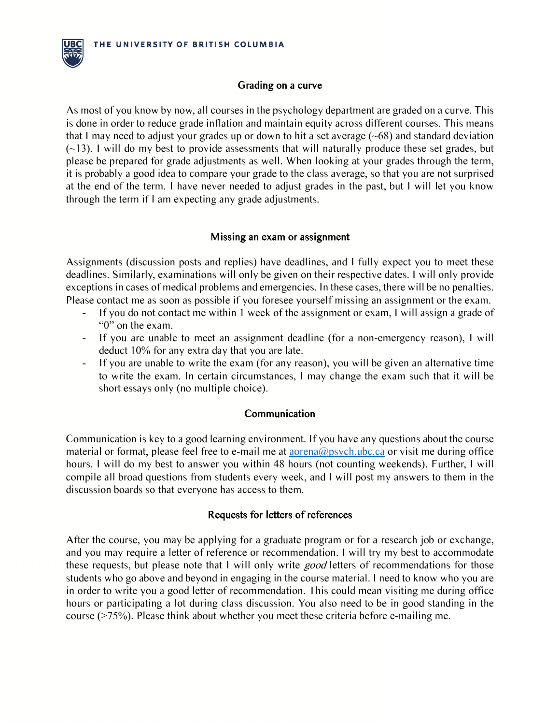

# Grading on a curve

As most of you know by now, all courses in the psychology department are graded on a curve. This is done in order to reduce grade inflation and maintain equity across different courses. This means that I may need to adjust your grades up or down to hit a set average  $(\sim 68)$  and standard deviation  $(\sim 13)$ . I will do my best to provide assessments that will naturally produce these set grades, but please be prepared for grade adjustments as well. When looking at your grades through the term, it is probably a good idea to compare your grade to the class average, so that you are not surprised at the end of the term. I have never needed to adjust grades in the past, but I will let you know through the term if I am expecting any grade adjustments.

# Missing an exam or assignment

Assignments (discussion posts and replies) have deadlines, and I fully expect you to meet these deadlines. Similarly, examinations will only be given on their respective dates. I will only provide exceptions in cases of medical problems and emergencies. In these cases, there will be no penalties. Please contact me as soon as possible if you foresee yourself missing an assignment or the exam.

- If you do not contact me within 1 week of the assignment or exam, I will assign a grade of "0" on the exam.
- If you are unable to meet an assignment deadline (for a non-emergency reason), I will deduct 10% for any extra day that you are late.
- If you are unable to write the exam (for any reason), you will be given an alternative time to write the exam. In certain circumstances, I may change the exam such that it will be short essays only (no multiple choice).

# Communication

Communication is key to a good learning environment. If you have any questions about the course material or format, please feel free to e-mail me at aorena@psych.ubc.ca or visit me during office hours. I will do my best to answer you within 48 hours (not counting weekends). Further, I will compile all broad questions from students every week, and I will post my answers to them in the discussion boards so that everyone has access to them.

# Requests for letters of references

After the course, you may be applying for a graduate program or for a research job or exchange, and you may require a letter of reference or recommendation. I will try my best to accommodate these requests, but please note that I will only write good letters of recommendations for those students who go above and beyond in engaging in the course material. I need to know who you are in order to write you a good letter of recommendation. This could mean visiting me during office hours or participating a lot during class discussion. You also need to be in good standing in the course (>75%). Please think about whether you meet these criteria before e-mailing me.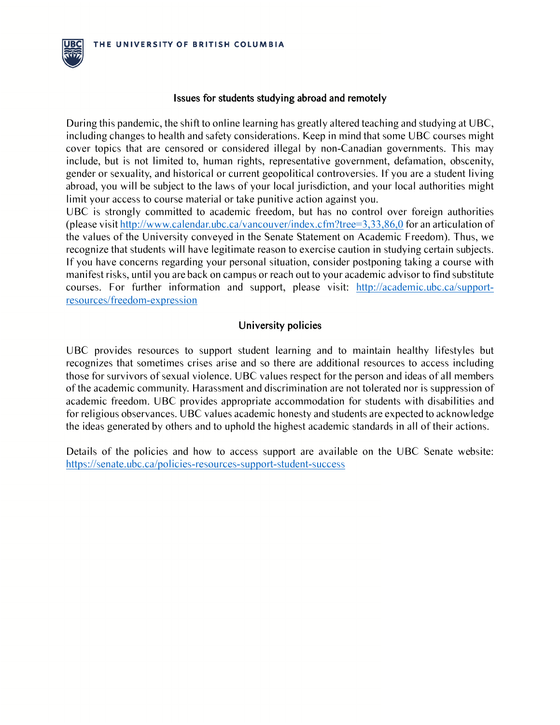

#### Issues for students studying abroad and remotely

During this pandemic, the shift to online learning has greatly altered teaching and studying at UBC, including changes to health and safety considerations. Keep in mind that some UBC courses might cover topics that are censored or considered illegal by non-Canadian governments. This may include, but is not limited to, human rights, representative government, defamation, obscenity, gender or sexuality, and historical or current geopolitical controversies. If you are a student living abroad, you will be subject to the laws of your local jurisdiction, and your local authorities might limit your access to course material or take punitive action against you.

UBC is strongly committed to academic freedom, but has no control over foreign authorities (please visit http://www.calendar.ubc.ca/vancouver/index.cfm?tree=3,33,86,0 for an articulation of the values of the University conveyed in the Senate Statement on Academic Freedom). Thus, we recognize that students will have legitimate reason to exercise caution in studying certain subjects. If you have concerns regarding your personal situation, consider postponing taking a course with manifest risks, until you are back on campus or reach out to your academic advisor to find substitute courses. For further information and support, please visit: http://academic.ubc.ca/supportresources/freedom-expression

# University policies

UBC provides resources to support student learning and to maintain healthy lifestyles but recognizes that sometimes crises arise and so there are additional resources to access including those for survivors of sexual violence. UBC values respect for the person and ideas of all members of the academic community. Harassment and discrimination are not tolerated nor is suppression of academic freedom. UBC provides appropriate accommodation for students with disabilities and for religious observances. UBC values academic honesty and students are expected to acknowledge the ideas generated by others and to uphold the highest academic standards in all of their actions.

Details of the policies and how to access support are available on the UBC Senate website: https://senate.ubc.ca/policies-resources-support-student-success